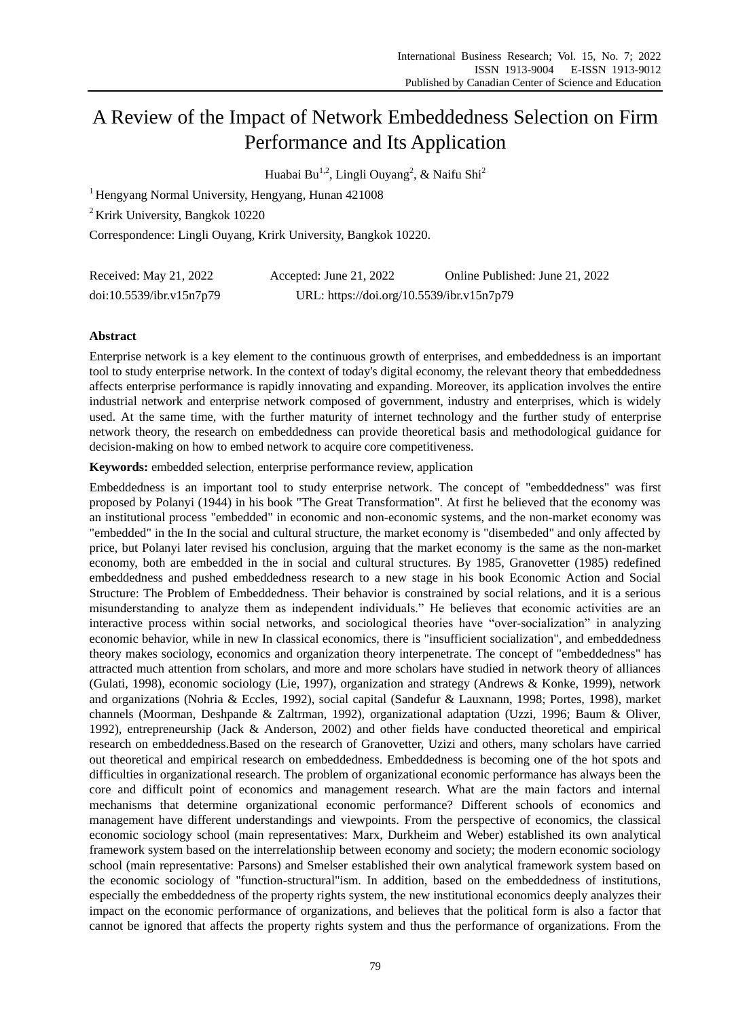# A Review of the Impact of Network Embeddedness Selection on Firm Performance and Its Application

Huabai Bu<sup>1,2</sup>, Lingli Ouyang<sup>2</sup>, & Naifu Shi<sup>2</sup>

<sup>1</sup> Hengyang Normal University, Hengyang, Hunan 421008

<sup>2</sup> Krirk University, Bangkok 10220

Correspondence: Lingli Ouyang, Krirk University, Bangkok 10220.

| Received: May 21, 2022   | Accepted: June 21, $2022$                 | Online Published: June 21, 2022 |
|--------------------------|-------------------------------------------|---------------------------------|
| doi:10.5539/ibr.v15n7p79 | URL: https://doi.org/10.5539/ibr.v15n7p79 |                                 |

# **Abstract**

Enterprise network is a key element to the continuous growth of enterprises, and embeddedness is an important tool to study enterprise network. In the context of today's digital economy, the relevant theory that embeddedness affects enterprise performance is rapidly innovating and expanding. Moreover, its application involves the entire industrial network and enterprise network composed of government, industry and enterprises, which is widely used. At the same time, with the further maturity of internet technology and the further study of enterprise network theory, the research on embeddedness can provide theoretical basis and methodological guidance for decision-making on how to embed network to acquire core competitiveness.

**Keywords:** embedded selection, enterprise performance review, application

Embeddedness is an important tool to study enterprise network. The concept of "embeddedness" was first proposed by Polanyi (1944) in his book "The Great Transformation". At first he believed that the economy was an institutional process "embedded" in economic and non-economic systems, and the non-market economy was "embedded" in the In the social and cultural structure, the market economy is "disembeded" and only affected by price, but Polanyi later revised his conclusion, arguing that the market economy is the same as the non-market economy, both are embedded in the in social and cultural structures. By 1985, Granovetter (1985) redefined embeddedness and pushed embeddedness research to a new stage in his book Economic Action and Social Structure: The Problem of Embeddedness. Their behavior is constrained by social relations, and it is a serious misunderstanding to analyze them as independent individuals." He believes that economic activities are an interactive process within social networks, and sociological theories have "over-socialization" in analyzing economic behavior, while in new In classical economics, there is "insufficient socialization", and embeddedness theory makes sociology, economics and organization theory interpenetrate. The concept of "embeddedness" has attracted much attention from scholars, and more and more scholars have studied in network theory of alliances (Gulati, 1998), economic sociology (Lie, 1997), organization and strategy (Andrews & Konke, 1999), network and organizations (Nohria & Eccles, 1992), social capital (Sandefur & Lauxnann, 1998; Portes, 1998), market channels (Moorman, Deshpande & Zaltrman, 1992), organizational adaptation (Uzzi, 1996; Baum & Oliver, 1992), entrepreneurship (Jack & Anderson, 2002) and other fields have conducted theoretical and empirical research on embeddedness.Based on the research of Granovetter, Uzizi and others, many scholars have carried out theoretical and empirical research on embeddedness. Embeddedness is becoming one of the hot spots and difficulties in organizational research. The problem of organizational economic performance has always been the core and difficult point of economics and management research. What are the main factors and internal mechanisms that determine organizational economic performance? Different schools of economics and management have different understandings and viewpoints. From the perspective of economics, the classical economic sociology school (main representatives: Marx, Durkheim and Weber) established its own analytical framework system based on the interrelationship between economy and society; the modern economic sociology school (main representative: Parsons) and Smelser established their own analytical framework system based on the economic sociology of "function-structural"ism. In addition, based on the embeddedness of institutions, especially the embeddedness of the property rights system, the new institutional economics deeply analyzes their impact on the economic performance of organizations, and believes that the political form is also a factor that cannot be ignored that affects the property rights system and thus the performance of organizations. From the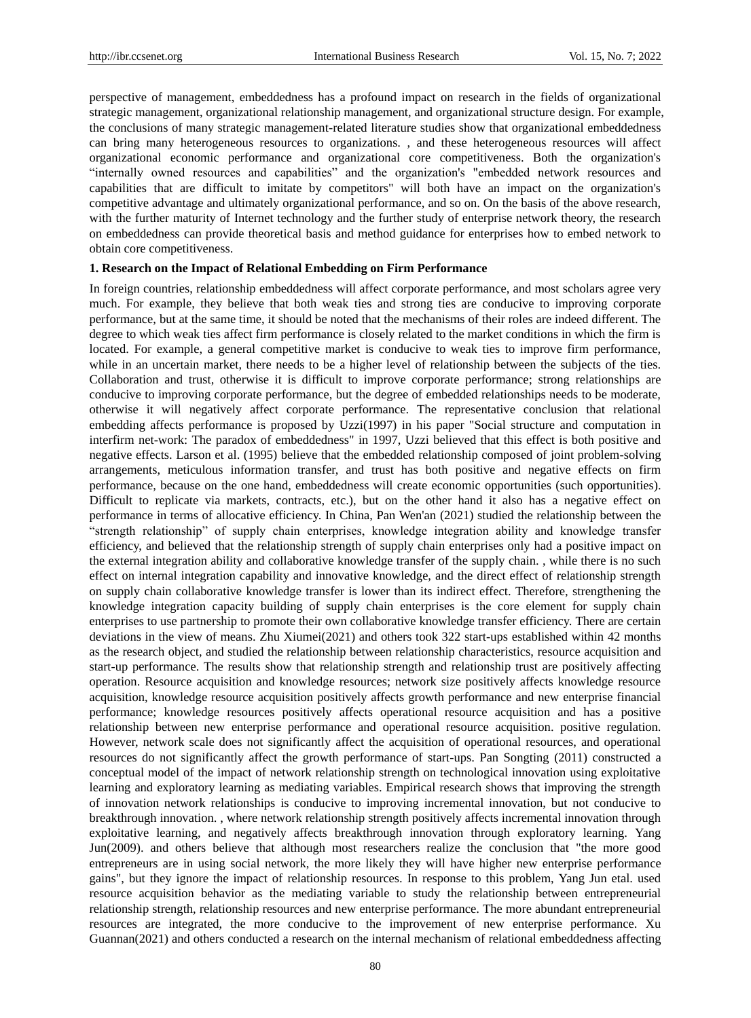perspective of management, embeddedness has a profound impact on research in the fields of organizational strategic management, organizational relationship management, and organizational structure design. For example, the conclusions of many strategic management-related literature studies show that organizational embeddedness can bring many heterogeneous resources to organizations. , and these heterogeneous resources will affect organizational economic performance and organizational core competitiveness. Both the organization's "internally owned resources and capabilities" and the organization's "embedded network resources and capabilities that are difficult to imitate by competitors" will both have an impact on the organization's competitive advantage and ultimately organizational performance, and so on. On the basis of the above research, with the further maturity of Internet technology and the further study of enterprise network theory, the research on embeddedness can provide theoretical basis and method guidance for enterprises how to embed network to obtain core competitiveness.

### **1. Research on the Impact of Relational Embedding on Firm Performance**

In foreign countries, relationship embeddedness will affect corporate performance, and most scholars agree very much. For example, they believe that both weak ties and strong ties are conducive to improving corporate performance, but at the same time, it should be noted that the mechanisms of their roles are indeed different. The degree to which weak ties affect firm performance is closely related to the market conditions in which the firm is located. For example, a general competitive market is conducive to weak ties to improve firm performance, while in an uncertain market, there needs to be a higher level of relationship between the subjects of the ties. Collaboration and trust, otherwise it is difficult to improve corporate performance; strong relationships are conducive to improving corporate performance, but the degree of embedded relationships needs to be moderate, otherwise it will negatively affect corporate performance. The representative conclusion that relational embedding affects performance is proposed by Uzzi(1997) in his paper "Social structure and computation in interfirm net-work: The paradox of embeddedness" in 1997, Uzzi believed that this effect is both positive and negative effects. Larson et al. (1995) believe that the embedded relationship composed of joint problem-solving arrangements, meticulous information transfer, and trust has both positive and negative effects on firm performance, because on the one hand, embeddedness will create economic opportunities (such opportunities). Difficult to replicate via markets, contracts, etc.), but on the other hand it also has a negative effect on performance in terms of allocative efficiency. In China, Pan Wen'an (2021) studied the relationship between the "strength relationship" of supply chain enterprises, knowledge integration ability and knowledge transfer efficiency, and believed that the relationship strength of supply chain enterprises only had a positive impact on the external integration ability and collaborative knowledge transfer of the supply chain. , while there is no such effect on internal integration capability and innovative knowledge, and the direct effect of relationship strength on supply chain collaborative knowledge transfer is lower than its indirect effect. Therefore, strengthening the knowledge integration capacity building of supply chain enterprises is the core element for supply chain enterprises to use partnership to promote their own collaborative knowledge transfer efficiency. There are certain deviations in the view of means. Zhu Xiumei(2021) and others took 322 start-ups established within 42 months as the research object, and studied the relationship between relationship characteristics, resource acquisition and start-up performance. The results show that relationship strength and relationship trust are positively affecting operation. Resource acquisition and knowledge resources; network size positively affects knowledge resource acquisition, knowledge resource acquisition positively affects growth performance and new enterprise financial performance; knowledge resources positively affects operational resource acquisition and has a positive relationship between new enterprise performance and operational resource acquisition. positive regulation. However, network scale does not significantly affect the acquisition of operational resources, and operational resources do not significantly affect the growth performance of start-ups. Pan Songting (2011) constructed a conceptual model of the impact of network relationship strength on technological innovation using exploitative learning and exploratory learning as mediating variables. Empirical research shows that improving the strength of innovation network relationships is conducive to improving incremental innovation, but not conducive to breakthrough innovation. , where network relationship strength positively affects incremental innovation through exploitative learning, and negatively affects breakthrough innovation through exploratory learning. Yang Jun(2009). and others believe that although most researchers realize the conclusion that "the more good entrepreneurs are in using social network, the more likely they will have higher new enterprise performance gains", but they ignore the impact of relationship resources. In response to this problem, Yang Jun etal. used resource acquisition behavior as the mediating variable to study the relationship between entrepreneurial relationship strength, relationship resources and new enterprise performance. The more abundant entrepreneurial resources are integrated, the more conducive to the improvement of new enterprise performance. Xu Guannan(2021) and others conducted a research on the internal mechanism of relational embeddedness affecting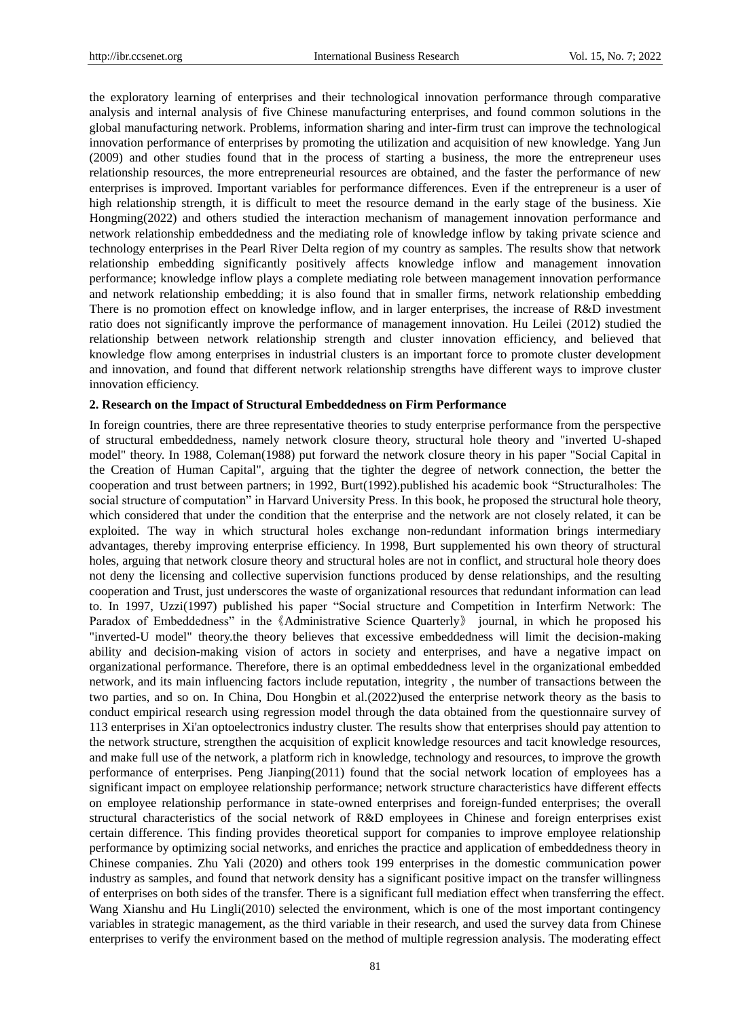the exploratory learning of enterprises and their technological innovation performance through comparative analysis and internal analysis of five Chinese manufacturing enterprises, and found common solutions in the global manufacturing network. Problems, information sharing and inter-firm trust can improve the technological innovation performance of enterprises by promoting the utilization and acquisition of new knowledge. Yang Jun (2009) and other studies found that in the process of starting a business, the more the entrepreneur uses relationship resources, the more entrepreneurial resources are obtained, and the faster the performance of new enterprises is improved. Important variables for performance differences. Even if the entrepreneur is a user of high relationship strength, it is difficult to meet the resource demand in the early stage of the business. Xie Hongming(2022) and others studied the interaction mechanism of management innovation performance and network relationship embeddedness and the mediating role of knowledge inflow by taking private science and technology enterprises in the Pearl River Delta region of my country as samples. The results show that network relationship embedding significantly positively affects knowledge inflow and management innovation performance; knowledge inflow plays a complete mediating role between management innovation performance and network relationship embedding; it is also found that in smaller firms, network relationship embedding There is no promotion effect on knowledge inflow, and in larger enterprises, the increase of R&D investment ratio does not significantly improve the performance of management innovation. Hu Leilei (2012) studied the relationship between network relationship strength and cluster innovation efficiency, and believed that knowledge flow among enterprises in industrial clusters is an important force to promote cluster development and innovation, and found that different network relationship strengths have different ways to improve cluster innovation efficiency.

#### **2. Research on the Impact of Structural Embeddedness on Firm Performance**

In foreign countries, there are three representative theories to study enterprise performance from the perspective of structural embeddedness, namely network closure theory, structural hole theory and "inverted U-shaped model" theory. In 1988, Coleman(1988) put forward the network closure theory in his paper "Social Capital in the Creation of Human Capital", arguing that the tighter the degree of network connection, the better the cooperation and trust between partners; in 1992, Burt(1992).published his academic book "Structuralholes: The social structure of computation" in Harvard University Press. In this book, he proposed the structural hole theory, which considered that under the condition that the enterprise and the network are not closely related, it can be exploited. The way in which structural holes exchange non-redundant information brings intermediary advantages, thereby improving enterprise efficiency. In 1998, Burt supplemented his own theory of structural holes, arguing that network closure theory and structural holes are not in conflict, and structural hole theory does not deny the licensing and collective supervision functions produced by dense relationships, and the resulting cooperation and Trust, just underscores the waste of organizational resources that redundant information can lead to. In 1997, Uzzi(1997) published his paper "Social structure and Competition in Interfirm Network: The Paradox of Embeddedness" in the《Administrative Science Quarterly》 journal, in which he proposed his "inverted-U model" theory.the theory believes that excessive embeddedness will limit the decision-making ability and decision-making vision of actors in society and enterprises, and have a negative impact on organizational performance. Therefore, there is an optimal embeddedness level in the organizational embedded network, and its main influencing factors include reputation, integrity , the number of transactions between the two parties, and so on. In China, Dou Hongbin et al.(2022)used the enterprise network theory as the basis to conduct empirical research using regression model through the data obtained from the questionnaire survey of 113 enterprises in Xi'an optoelectronics industry cluster. The results show that enterprises should pay attention to the network structure, strengthen the acquisition of explicit knowledge resources and tacit knowledge resources, and make full use of the network, a platform rich in knowledge, technology and resources, to improve the growth performance of enterprises. Peng Jianping(2011) found that the social network location of employees has a significant impact on employee relationship performance; network structure characteristics have different effects on employee relationship performance in state-owned enterprises and foreign-funded enterprises; the overall structural characteristics of the social network of R&D employees in Chinese and foreign enterprises exist certain difference. This finding provides theoretical support for companies to improve employee relationship performance by optimizing social networks, and enriches the practice and application of embeddedness theory in Chinese companies. Zhu Yali (2020) and others took 199 enterprises in the domestic communication power industry as samples, and found that network density has a significant positive impact on the transfer willingness of enterprises on both sides of the transfer. There is a significant full mediation effect when transferring the effect. Wang Xianshu and Hu Lingli(2010) selected the environment, which is one of the most important contingency variables in strategic management, as the third variable in their research, and used the survey data from Chinese enterprises to verify the environment based on the method of multiple regression analysis. The moderating effect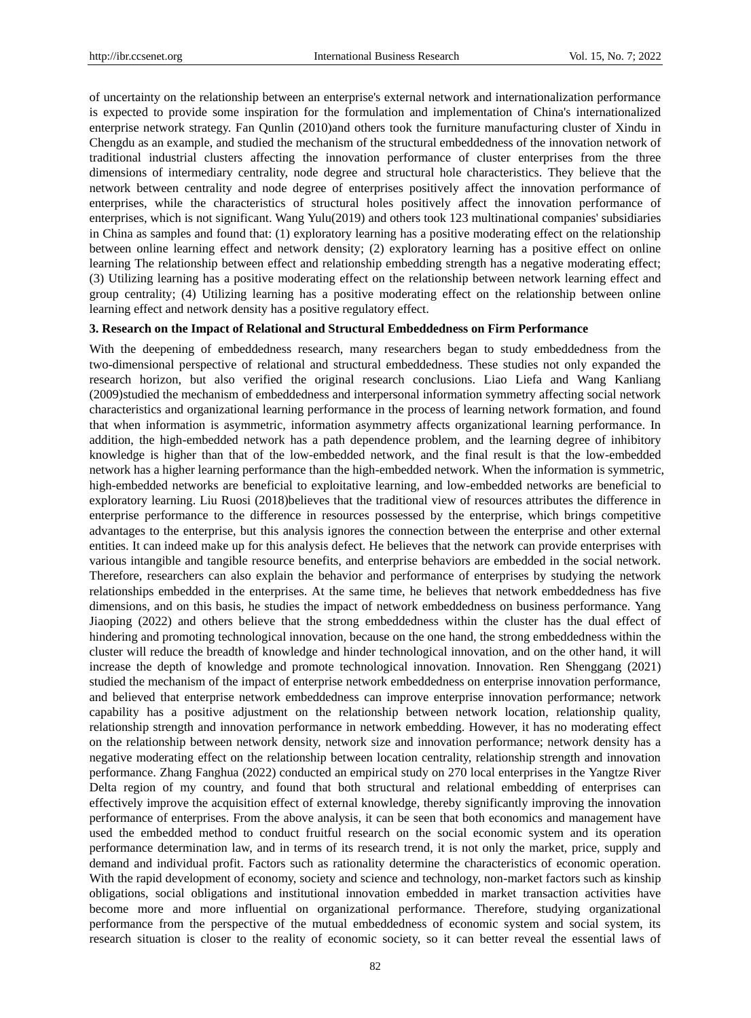of uncertainty on the relationship between an enterprise's external network and internationalization performance is expected to provide some inspiration for the formulation and implementation of China's internationalized enterprise network strategy. Fan Qunlin (2010)and others took the furniture manufacturing cluster of Xindu in Chengdu as an example, and studied the mechanism of the structural embeddedness of the innovation network of traditional industrial clusters affecting the innovation performance of cluster enterprises from the three dimensions of intermediary centrality, node degree and structural hole characteristics. They believe that the network between centrality and node degree of enterprises positively affect the innovation performance of enterprises, while the characteristics of structural holes positively affect the innovation performance of enterprises, which is not significant. Wang Yulu(2019) and others took 123 multinational companies' subsidiaries in China as samples and found that: (1) exploratory learning has a positive moderating effect on the relationship between online learning effect and network density; (2) exploratory learning has a positive effect on online learning The relationship between effect and relationship embedding strength has a negative moderating effect; (3) Utilizing learning has a positive moderating effect on the relationship between network learning effect and group centrality; (4) Utilizing learning has a positive moderating effect on the relationship between online learning effect and network density has a positive regulatory effect.

#### **3. Research on the Impact of Relational and Structural Embeddedness on Firm Performance**

With the deepening of embeddedness research, many researchers began to study embeddedness from the two-dimensional perspective of relational and structural embeddedness. These studies not only expanded the research horizon, but also verified the original research conclusions. Liao Liefa and Wang Kanliang (2009)studied the mechanism of embeddedness and interpersonal information symmetry affecting social network characteristics and organizational learning performance in the process of learning network formation, and found that when information is asymmetric, information asymmetry affects organizational learning performance. In addition, the high-embedded network has a path dependence problem, and the learning degree of inhibitory knowledge is higher than that of the low-embedded network, and the final result is that the low-embedded network has a higher learning performance than the high-embedded network. When the information is symmetric, high-embedded networks are beneficial to exploitative learning, and low-embedded networks are beneficial to exploratory learning. Liu Ruosi (2018)believes that the traditional view of resources attributes the difference in enterprise performance to the difference in resources possessed by the enterprise, which brings competitive advantages to the enterprise, but this analysis ignores the connection between the enterprise and other external entities. It can indeed make up for this analysis defect. He believes that the network can provide enterprises with various intangible and tangible resource benefits, and enterprise behaviors are embedded in the social network. Therefore, researchers can also explain the behavior and performance of enterprises by studying the network relationships embedded in the enterprises. At the same time, he believes that network embeddedness has five dimensions, and on this basis, he studies the impact of network embeddedness on business performance. Yang Jiaoping (2022) and others believe that the strong embeddedness within the cluster has the dual effect of hindering and promoting technological innovation, because on the one hand, the strong embeddedness within the cluster will reduce the breadth of knowledge and hinder technological innovation, and on the other hand, it will increase the depth of knowledge and promote technological innovation. Innovation. Ren Shenggang (2021) studied the mechanism of the impact of enterprise network embeddedness on enterprise innovation performance, and believed that enterprise network embeddedness can improve enterprise innovation performance; network capability has a positive adjustment on the relationship between network location, relationship quality, relationship strength and innovation performance in network embedding. However, it has no moderating effect on the relationship between network density, network size and innovation performance; network density has a negative moderating effect on the relationship between location centrality, relationship strength and innovation performance. Zhang Fanghua (2022) conducted an empirical study on 270 local enterprises in the Yangtze River Delta region of my country, and found that both structural and relational embedding of enterprises can effectively improve the acquisition effect of external knowledge, thereby significantly improving the innovation performance of enterprises. From the above analysis, it can be seen that both economics and management have used the embedded method to conduct fruitful research on the social economic system and its operation performance determination law, and in terms of its research trend, it is not only the market, price, supply and demand and individual profit. Factors such as rationality determine the characteristics of economic operation. With the rapid development of economy, society and science and technology, non-market factors such as kinship obligations, social obligations and institutional innovation embedded in market transaction activities have become more and more influential on organizational performance. Therefore, studying organizational performance from the perspective of the mutual embeddedness of economic system and social system, its research situation is closer to the reality of economic society, so it can better reveal the essential laws of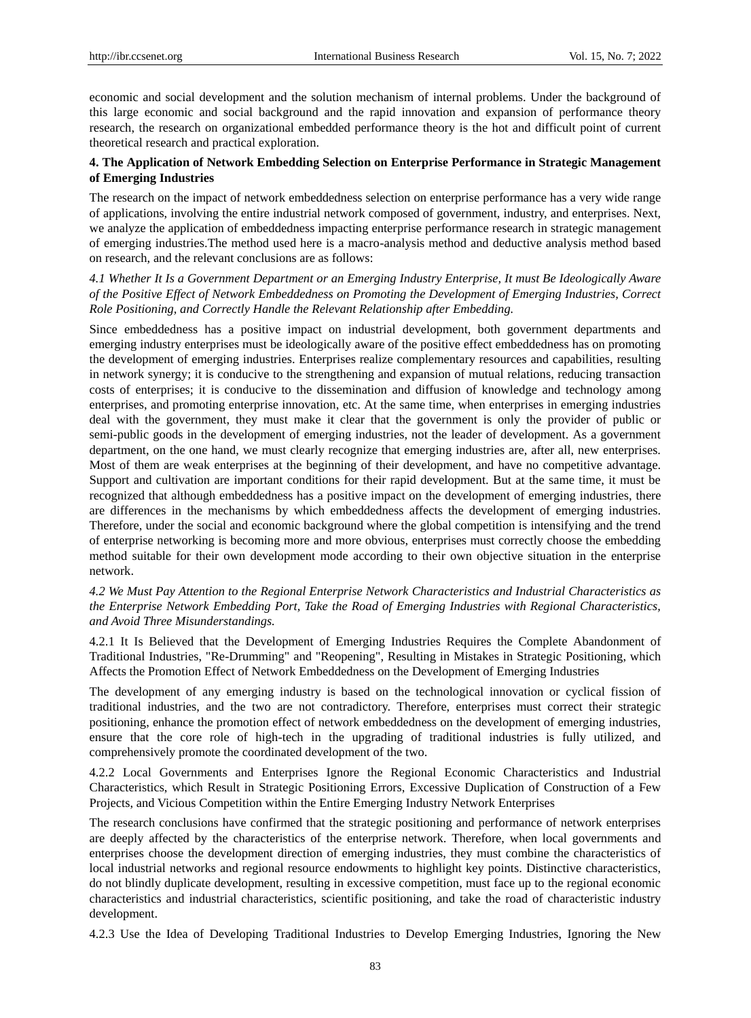economic and social development and the solution mechanism of internal problems. Under the background of this large economic and social background and the rapid innovation and expansion of performance theory research, the research on organizational embedded performance theory is the hot and difficult point of current theoretical research and practical exploration.

# **4. The Application of Network Embedding Selection on Enterprise Performance in Strategic Management of Emerging Industries**

The research on the impact of network embeddedness selection on enterprise performance has a very wide range of applications, involving the entire industrial network composed of government, industry, and enterprises. Next, we analyze the application of embeddedness impacting enterprise performance research in strategic management of emerging industries.The method used here is a macro-analysis method and deductive analysis method based on research, and the relevant conclusions are as follows:

*4.1 Whether It Is a Government Department or an Emerging Industry Enterprise, It must Be Ideologically Aware of the Positive Effect of Network Embeddedness on Promoting the Development of Emerging Industries, Correct Role Positioning, and Correctly Handle the Relevant Relationship after Embedding.*

Since embeddedness has a positive impact on industrial development, both government departments and emerging industry enterprises must be ideologically aware of the positive effect embeddedness has on promoting the development of emerging industries. Enterprises realize complementary resources and capabilities, resulting in network synergy; it is conducive to the strengthening and expansion of mutual relations, reducing transaction costs of enterprises; it is conducive to the dissemination and diffusion of knowledge and technology among enterprises, and promoting enterprise innovation, etc. At the same time, when enterprises in emerging industries deal with the government, they must make it clear that the government is only the provider of public or semi-public goods in the development of emerging industries, not the leader of development. As a government department, on the one hand, we must clearly recognize that emerging industries are, after all, new enterprises. Most of them are weak enterprises at the beginning of their development, and have no competitive advantage. Support and cultivation are important conditions for their rapid development. But at the same time, it must be recognized that although embeddedness has a positive impact on the development of emerging industries, there are differences in the mechanisms by which embeddedness affects the development of emerging industries. Therefore, under the social and economic background where the global competition is intensifying and the trend of enterprise networking is becoming more and more obvious, enterprises must correctly choose the embedding method suitable for their own development mode according to their own objective situation in the enterprise network.

*4.2 We Must Pay Attention to the Regional Enterprise Network Characteristics and Industrial Characteristics as the Enterprise Network Embedding Port, Take the Road of Emerging Industries with Regional Characteristics, and Avoid Three Misunderstandings.*

4.2.1 It Is Believed that the Development of Emerging Industries Requires the Complete Abandonment of Traditional Industries, "Re-Drumming" and "Reopening", Resulting in Mistakes in Strategic Positioning, which Affects the Promotion Effect of Network Embeddedness on the Development of Emerging Industries

The development of any emerging industry is based on the technological innovation or cyclical fission of traditional industries, and the two are not contradictory. Therefore, enterprises must correct their strategic positioning, enhance the promotion effect of network embeddedness on the development of emerging industries, ensure that the core role of high-tech in the upgrading of traditional industries is fully utilized, and comprehensively promote the coordinated development of the two.

4.2.2 Local Governments and Enterprises Ignore the Regional Economic Characteristics and Industrial Characteristics, which Result in Strategic Positioning Errors, Excessive Duplication of Construction of a Few Projects, and Vicious Competition within the Entire Emerging Industry Network Enterprises

The research conclusions have confirmed that the strategic positioning and performance of network enterprises are deeply affected by the characteristics of the enterprise network. Therefore, when local governments and enterprises choose the development direction of emerging industries, they must combine the characteristics of local industrial networks and regional resource endowments to highlight key points. Distinctive characteristics, do not blindly duplicate development, resulting in excessive competition, must face up to the regional economic characteristics and industrial characteristics, scientific positioning, and take the road of characteristic industry development.

4.2.3 Use the Idea of Developing Traditional Industries to Develop Emerging Industries, Ignoring the New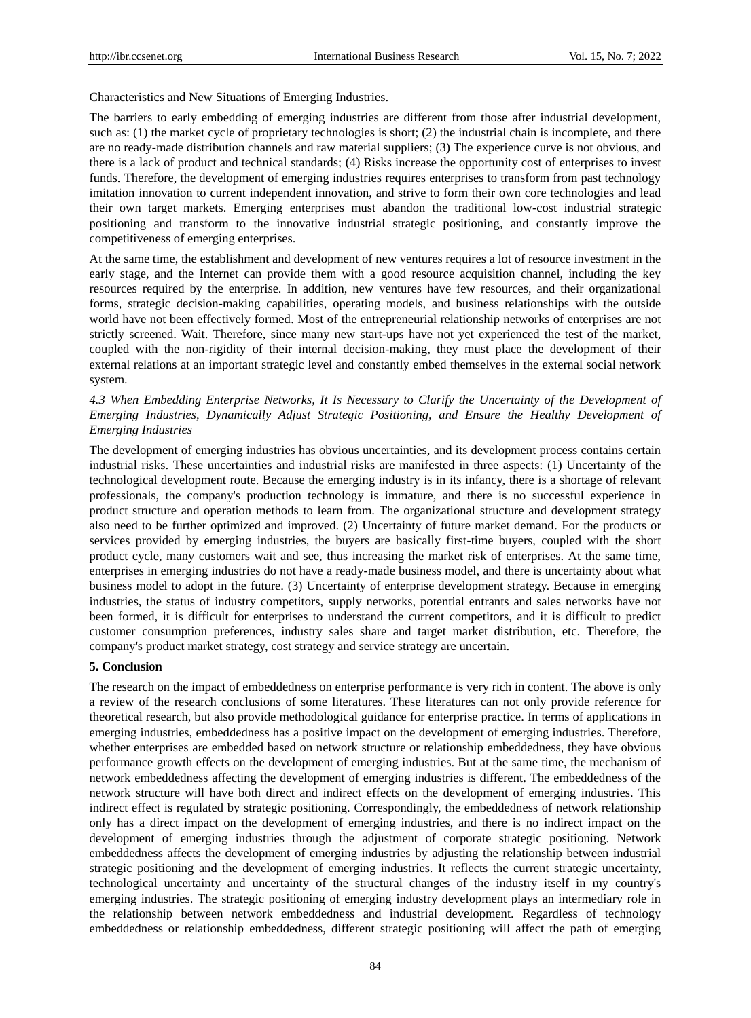Characteristics and New Situations of Emerging Industries.

The barriers to early embedding of emerging industries are different from those after industrial development, such as: (1) the market cycle of proprietary technologies is short; (2) the industrial chain is incomplete, and there are no ready-made distribution channels and raw material suppliers; (3) The experience curve is not obvious, and there is a lack of product and technical standards; (4) Risks increase the opportunity cost of enterprises to invest funds. Therefore, the development of emerging industries requires enterprises to transform from past technology imitation innovation to current independent innovation, and strive to form their own core technologies and lead their own target markets. Emerging enterprises must abandon the traditional low-cost industrial strategic positioning and transform to the innovative industrial strategic positioning, and constantly improve the competitiveness of emerging enterprises.

At the same time, the establishment and development of new ventures requires a lot of resource investment in the early stage, and the Internet can provide them with a good resource acquisition channel, including the key resources required by the enterprise. In addition, new ventures have few resources, and their organizational forms, strategic decision-making capabilities, operating models, and business relationships with the outside world have not been effectively formed. Most of the entrepreneurial relationship networks of enterprises are not strictly screened. Wait. Therefore, since many new start-ups have not yet experienced the test of the market, coupled with the non-rigidity of their internal decision-making, they must place the development of their external relations at an important strategic level and constantly embed themselves in the external social network system.

# *4.3 When Embedding Enterprise Networks, It Is Necessary to Clarify the Uncertainty of the Development of Emerging Industries, Dynamically Adjust Strategic Positioning, and Ensure the Healthy Development of Emerging Industries*

The development of emerging industries has obvious uncertainties, and its development process contains certain industrial risks. These uncertainties and industrial risks are manifested in three aspects: (1) Uncertainty of the technological development route. Because the emerging industry is in its infancy, there is a shortage of relevant professionals, the company's production technology is immature, and there is no successful experience in product structure and operation methods to learn from. The organizational structure and development strategy also need to be further optimized and improved. (2) Uncertainty of future market demand. For the products or services provided by emerging industries, the buyers are basically first-time buyers, coupled with the short product cycle, many customers wait and see, thus increasing the market risk of enterprises. At the same time, enterprises in emerging industries do not have a ready-made business model, and there is uncertainty about what business model to adopt in the future. (3) Uncertainty of enterprise development strategy. Because in emerging industries, the status of industry competitors, supply networks, potential entrants and sales networks have not been formed, it is difficult for enterprises to understand the current competitors, and it is difficult to predict customer consumption preferences, industry sales share and target market distribution, etc. Therefore, the company's product market strategy, cost strategy and service strategy are uncertain.

## **5. Conclusion**

The research on the impact of embeddedness on enterprise performance is very rich in content. The above is only a review of the research conclusions of some literatures. These literatures can not only provide reference for theoretical research, but also provide methodological guidance for enterprise practice. In terms of applications in emerging industries, embeddedness has a positive impact on the development of emerging industries. Therefore, whether enterprises are embedded based on network structure or relationship embeddedness, they have obvious performance growth effects on the development of emerging industries. But at the same time, the mechanism of network embeddedness affecting the development of emerging industries is different. The embeddedness of the network structure will have both direct and indirect effects on the development of emerging industries. This indirect effect is regulated by strategic positioning. Correspondingly, the embeddedness of network relationship only has a direct impact on the development of emerging industries, and there is no indirect impact on the development of emerging industries through the adjustment of corporate strategic positioning. Network embeddedness affects the development of emerging industries by adjusting the relationship between industrial strategic positioning and the development of emerging industries. It reflects the current strategic uncertainty, technological uncertainty and uncertainty of the structural changes of the industry itself in my country's emerging industries. The strategic positioning of emerging industry development plays an intermediary role in the relationship between network embeddedness and industrial development. Regardless of technology embeddedness or relationship embeddedness, different strategic positioning will affect the path of emerging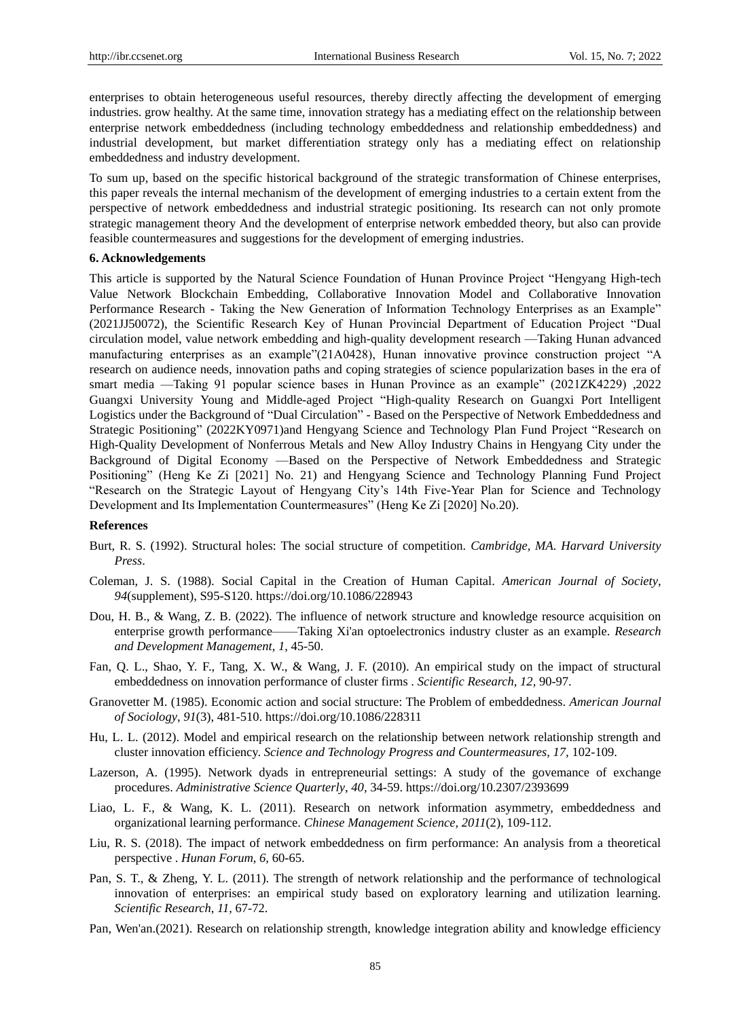enterprises to obtain heterogeneous useful resources, thereby directly affecting the development of emerging industries. grow healthy. At the same time, innovation strategy has a mediating effect on the relationship between enterprise network embeddedness (including technology embeddedness and relationship embeddedness) and industrial development, but market differentiation strategy only has a mediating effect on relationship embeddedness and industry development.

To sum up, based on the specific historical background of the strategic transformation of Chinese enterprises, this paper reveals the internal mechanism of the development of emerging industries to a certain extent from the perspective of network embeddedness and industrial strategic positioning. Its research can not only promote strategic management theory And the development of enterprise network embedded theory, but also can provide feasible countermeasures and suggestions for the development of emerging industries.

## **6. Acknowledgements**

This article is supported by the Natural Science Foundation of Hunan Province Project "Hengyang High-tech Value Network Blockchain Embedding, Collaborative Innovation Model and Collaborative Innovation Performance Research - Taking the New Generation of Information Technology Enterprises as an Example" (2021JJ50072), the Scientific Research Key of Hunan Provincial Department of Education Project "Dual circulation model, value network embedding and high-quality development research —Taking Hunan advanced manufacturing enterprises as an example"(21A0428), Hunan innovative province construction project "A research on audience needs, innovation paths and coping strategies of science popularization bases in the era of smart media —Taking 91 popular science bases in Hunan Province as an example" (2021ZK4229) ,2022 Guangxi University Young and Middle-aged Project "High-quality Research on Guangxi Port Intelligent Logistics under the Background of "Dual Circulation" - Based on the Perspective of Network Embeddedness and Strategic Positioning" (2022KY0971)and Hengyang Science and Technology Plan Fund Project "Research on High-Quality Development of Nonferrous Metals and New Alloy Industry Chains in Hengyang City under the Background of Digital Economy —Based on the Perspective of Network Embeddedness and Strategic Positioning" (Heng Ke Zi [2021] No. 21) and Hengyang Science and Technology Planning Fund Project "Research on the Strategic Layout of Hengyang City's 14th Five-Year Plan for Science and Technology Development and Its Implementation Countermeasures" (Heng Ke Zi [2020] No.20).

#### **References**

- Burt, R. S. (1992). Structural holes: The social structure of competition. *Cambridge, MA. Harvard University Press*.
- Coleman, J. S. (1988). Social Capital in the Creation of Human Capital. *American Journal of Society*, *94*(supplement), S95-S120. https://doi.org/10.1086/228943
- Dou, H. B., & Wang, Z. B. (2022). The influence of network structure and knowledge resource acquisition on enterprise growth performance——Taking Xi'an optoelectronics industry cluster as an example. *Research and Development Management*, *1,* 45-50.
- Fan, Q. L., Shao, Y. F., Tang, X. W., & Wang, J. F. (2010). An empirical study on the impact of structural embeddedness on innovation performance of cluster firms . *Scientific Research*, *12,* 90-97.
- Granovetter M. (1985). Economic action and social structure: The Problem of embeddedness. *American Journal of Sociology*, *91*(3), 481-510. https://doi.org/10.1086/228311
- Hu, L. L. (2012). Model and empirical research on the relationship between network relationship strength and cluster innovation efficiency. *Science and Technology Progress and Countermeasures, 17,* 102-109.
- Lazerson, A. (1995). Network dyads in entrepreneurial settings: A study of the govemance of exchange procedures. *Administrative Science Quarterly*, *40,* 34-59. https://doi.org/10.2307/2393699
- Liao, L. F., & Wang, K. L. (2011). Research on network information asymmetry, embeddedness and organizational learning performance. *Chinese Management Science, 2011*(2), 109-112.
- Liu, R. S. (2018). The impact of network embeddedness on firm performance: An analysis from a theoretical perspective . *Hunan Forum*, *6,* 60-65.
- Pan, S. T., & Zheng, Y. L. (2011). The strength of network relationship and the performance of technological innovation of enterprises: an empirical study based on exploratory learning and utilization learning. *Scientific Research*, *11,* 67-72.
- Pan, Wen'an.(2021). Research on relationship strength, knowledge integration ability and knowledge efficiency